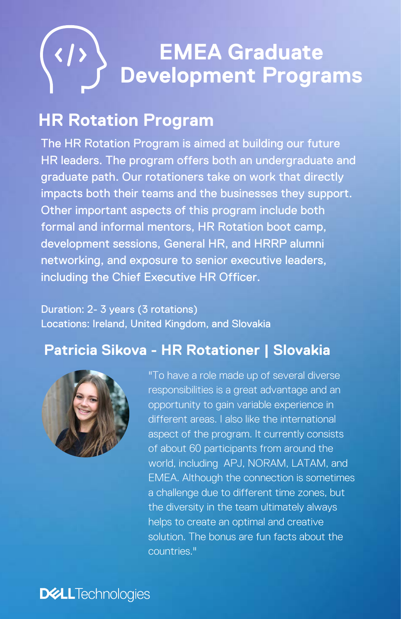# **EMEA Graduate Development Programs**

# **HR Rotation Program**

The HR Rotation Program is aimed at building our future HR leaders. The program offers both an undergraduate and graduate path. Our rotationers take on work that directly impacts both their teams and the businesses they support. Other important aspects of this program include both formal and informal mentors, HR Rotation boot camp, development sessions, General HR, and HRRP alumni networking, and exposure to senior executive leaders, including the Chief Executive HR Officer.

#### Duration: 2- 3 years (3 rotations) Locations: Ireland, United Kingdom, and Slovakia

## **Patricia Sikova - HR Rotationer | Slovakia**



"To have a role made up of several diverse responsibilities is a great advantage and an opportunity to gain variable experience in different areas. I also like the international aspect of the program. It currently consists of about 60 participants from around the world, including APJ, NORAM, LATAM, and EMEA. Although the connection is sometimes a challenge due to different time zones, but the diversity in the team ultimately always helps to create an optimal and creative solution. The bonus are fun facts about the countries."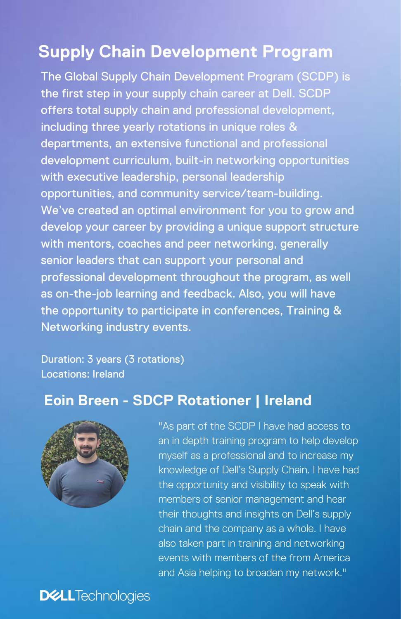# **Supply Chain Development Program**

The Global Supply Chain Development Program (SCDP) is the first step in your supply chain career at Dell. SCDP offers total supply chain and professional development, including three yearly rotations in unique roles & departments, an extensive functional and professional development curriculum, built-in networking opportunities with executive leadership, personal leadership opportunities, and community service/team-building. We've created an optimal environment for you to grow and develop your career by providing a unique support structure with mentors, coaches and peer networking, generally senior leaders that can support your personal and professional development throughout the program, as well as on-the-job learning and feedback. Also, you will have the opportunity to participate in conferences, Training & Networking industry events.

Duration: 3 years (3 rotations) Locations: Ireland

## **Eoin Breen - SDCP Rotationer | Ireland**



"As part of the SCDP I have had access to an in depth training program to help develop myself as a professional and to increase my knowledge of Dell's Supply Chain. I have had the opportunity and visibility to speak with members of senior management and hear their thoughts and insights on Dell's supply chain and the company as a whole. I have also taken part in training and networking events with members of the from America and Asia helping to broaden my network."

**DELL**Technologies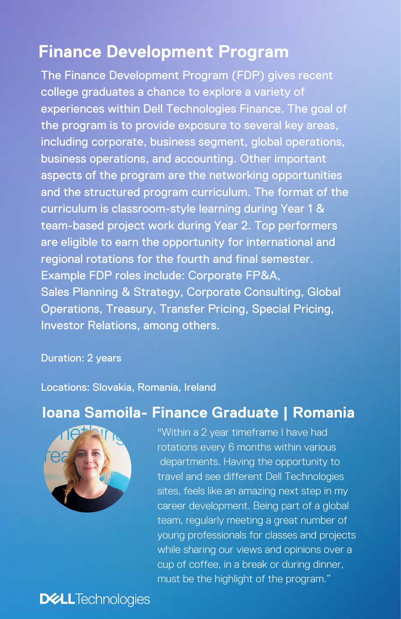## **Finance Development Program**

The Finance Development Program (FDP) gives recent college graduates a chance to explore a variety of experiences within Dell Technologies Finance. The goal of the program is to provide exposure to several key areas, including corporate, business segment, global operations, business operations, and accounting. Other important aspects of the program are the networking opportunities and the structured program curriculum. The format of the curriculum is classroom-style learning during Year 1 & team-based project work during Year 2. Top performers are eligible to earn the opportunity for international and regional rotations for the fourth and final semester. Example FDP roles include: Corporate FP&A, Sales Planning & Strategy, Corporate Consulting, Global Operations, Treasury, Transfer Pricing, Special Pricing, Investor Relations, among others.

#### Duration: 2 years

Locations: Slovakia, Romania, Ireland

### **Ioana Samoila- Finance Graduate | Romania**



"Within a 2 year timeframe I have had rotations every 6 months within various departments. Having the opportunity to travel and see different Dell Technologies sites, feels like an amazing next step in my career development. Being part of a global team, regularly meeting a great number of young professionals for classes and projects while sharing our views and opinions over a cup of coffee, in a break or during dinner, must be the highlight of the program."

## **DELL**Technologies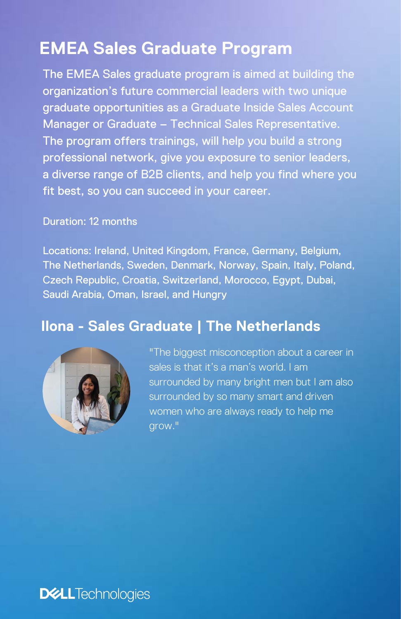# **EMEA Sales Graduate Program**

The EMEA Sales graduate program is aimed at building the organization's future commercial leaders with two unique graduate opportunities as a Graduate Inside Sales Account Manager or Graduate – Technical Sales Representative. The program offers trainings, will help you build a strong professional network, give you exposure to senior leaders, a diverse range of B2B clients, and help you find where you fit best, so you can succeed in your career.

#### Duration: 12 months

Locations: Ireland, United Kingdom, France, Germany, Belgium, The Netherlands, Sweden, Denmark, Norway, Spain, Italy, Poland, Czech Republic, Croatia, Switzerland, Morocco, Egypt, Dubai, Saudi Arabia, Oman, Israel, and Hungry

#### **Ilona - Sales Graduate | The Netherlands**



"The biggest misconception about a career in sales is that it's a man's world. I am surrounded by many bright men but I am also surrounded by so many smart and driven women who are always ready to help me grow."

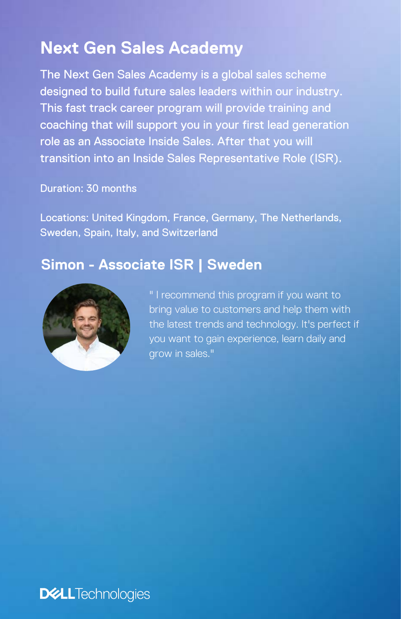# **Next Gen Sales Academy**

The Next Gen Sales Academy is a global sales scheme designed to build future sales leaders within our industry. This fast track career program will provide training and coaching that will support you in your first lead generation role as an Associate Inside Sales. After that you will transition into an Inside Sales Representative Role (ISR).

#### Duration: 30 months

Locations: United Kingdom, France, Germany, The Netherlands, Sweden, Spain, Italy, and Switzerland

#### **Simon - Associate ISR | Sweden**



" I recommend this program if you want to bring value to customers and help them with the latest trends and technology. It's perfect if you want to gain experience, learn daily and grow in sales."

**DELL**Technologies